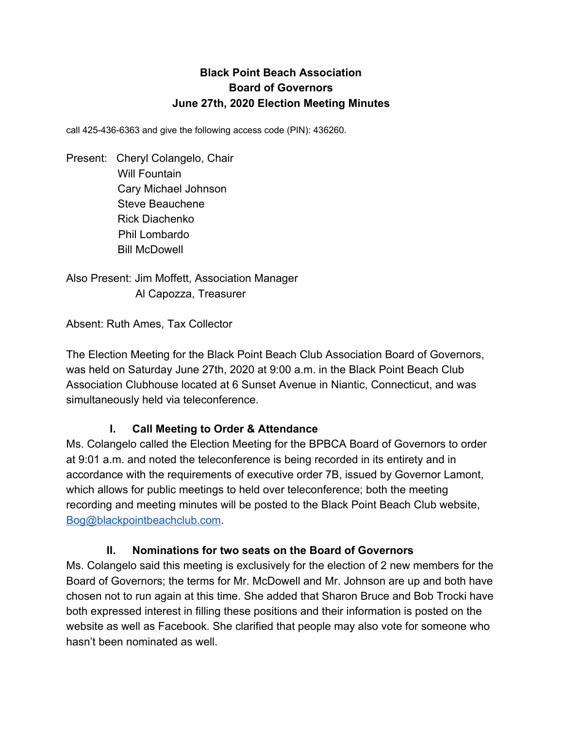## **Black Point Beach Association Board of Governors June 27th, 2020 Election Meeting Minutes**

call 425-436-6363 and give the following access code (PIN): 436260.

Present: Cheryl Colangelo, Chair Will Fountain Cary Michael Johnson Steve Beauchene Rick Diachenko Phil Lombardo Bill McDowell

Also Present: Jim Moffett, Association Manager Al Capozza, Treasurer

Absent: Ruth Ames, Tax Collector

The Election Meeting for the Black Point Beach Club Association Board of Governors, was held on Saturday June 27th, 2020 at 9:00 a.m. in the Black Point Beach Club Association Clubhouse located at 6 Sunset Avenue in Niantic, Connecticut, and was simultaneously held via teleconference.

## **I. Call Meeting to Order & Attendance**

Ms. Colangelo called the Election Meeting for the BPBCA Board of Governors to order at 9:01 a.m. and noted the teleconference is being recorded in its entirety and in accordance with the requirements of executive order 7B, issued by Governor Lamont, which allows for public meetings to held over teleconference; both the meeting recording and meeting minutes will be posted to the Black Point Beach Club website, [Bog@blackpointbeachclub.com](mailto:Bog@blackpointbeachclub.com).

#### **II. Nominations for two seats on the Board of Governors**

Ms. Colangelo said this meeting is exclusively for the election of 2 new members for the Board of Governors; the terms for Mr. McDowell and Mr. Johnson are up and both have chosen not to run again at this time. She added that Sharon Bruce and Bob Trocki have both expressed interest in filling these positions and their information is posted on the website as well as Facebook. She clarified that people may also vote for someone who hasn't been nominated as well.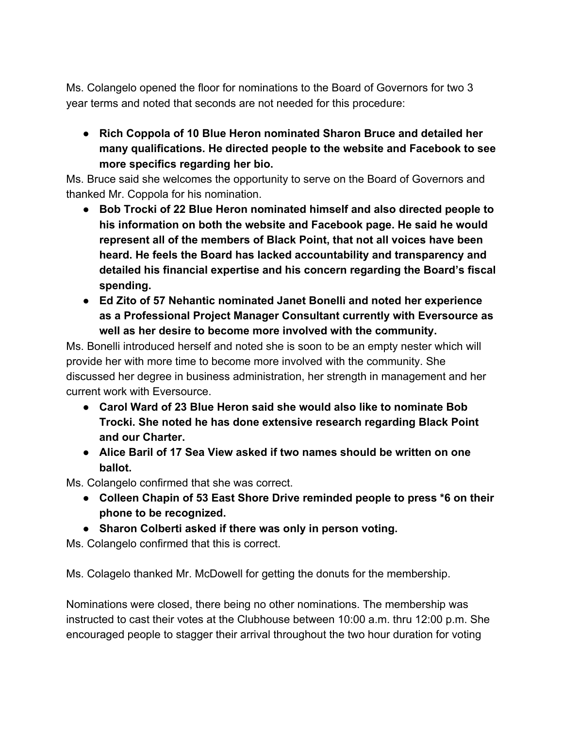Ms. Colangelo opened the floor for nominations to the Board of Governors for two 3 year terms and noted that seconds are not needed for this procedure:

**● Rich Coppola of 10 Blue Heron nominated Sharon Bruce and detailed her many qualifications. He directed people to the website and Facebook to see more specifics regarding her bio.**

Ms. Bruce said she welcomes the opportunity to serve on the Board of Governors and thanked Mr. Coppola for his nomination.

- **● Bob Trocki of 22 Blue Heron nominated himself and also directed people to his information on both the website and Facebook page. He said he would represent all of the members of Black Point, that not all voices have been heard. He feels the Board has lacked accountability and transparency and detailed his financial expertise and his concern regarding the Board's fiscal spending.**
- **● Ed Zito of 57 Nehantic nominated Janet Bonelli and noted her experience as a Professional Project Manager Consultant currently with Eversource as well as her desire to become more involved with the community.**

Ms. Bonelli introduced herself and noted she is soon to be an empty nester which will provide her with more time to become more involved with the community. She discussed her degree in business administration, her strength in management and her current work with Eversource.

- **● Carol Ward of 23 Blue Heron said she would also like to nominate Bob Trocki. She noted he has done extensive research regarding Black Point and our Charter.**
- **● Alice Baril of 17 Sea View asked if two names should be written on one ballot.**

Ms. Colangelo confirmed that she was correct.

- **● Colleen Chapin of 53 East Shore Drive reminded people to press \*6 on their phone to be recognized.**
- **● Sharon Colberti asked if there was only in person voting.**

Ms. Colangelo confirmed that this is correct.

Ms. Colagelo thanked Mr. McDowell for getting the donuts for the membership.

Nominations were closed, there being no other nominations. The membership was instructed to cast their votes at the Clubhouse between 10:00 a.m. thru 12:00 p.m. She encouraged people to stagger their arrival throughout the two hour duration for voting